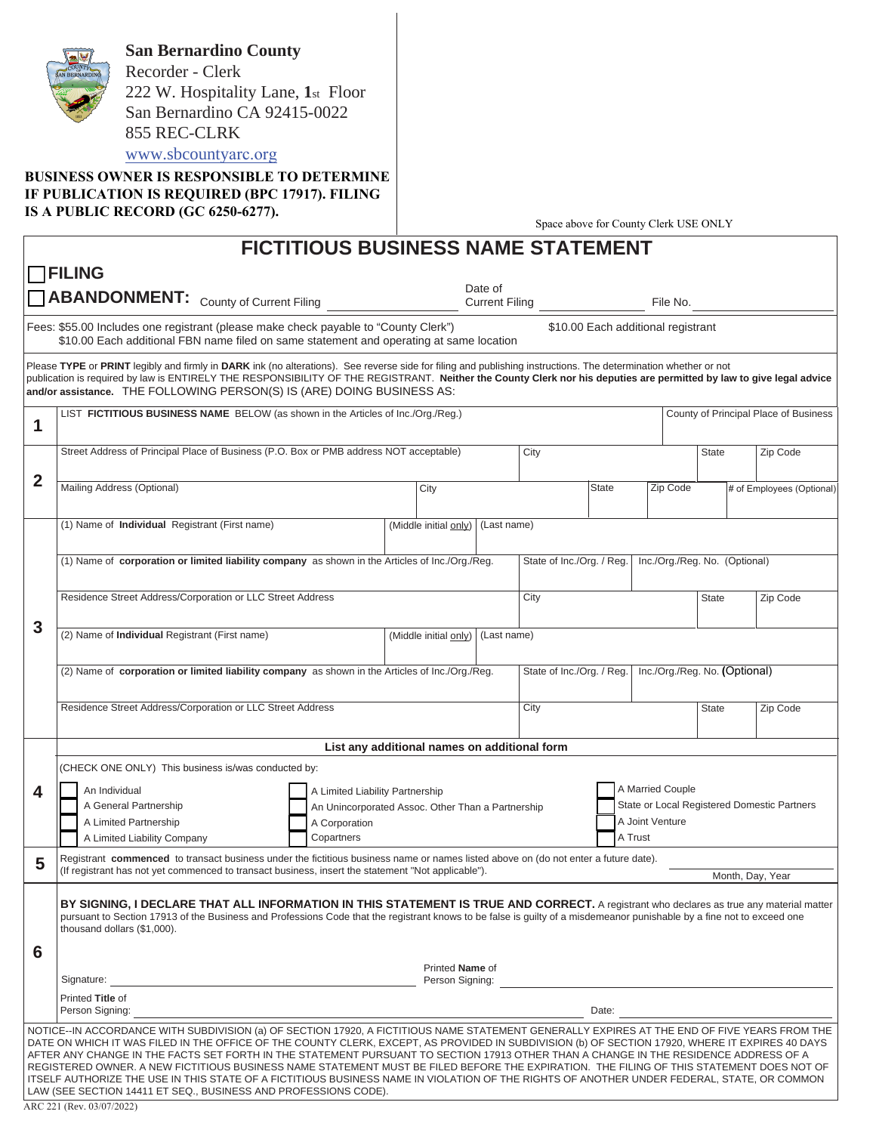**San Bernardino County**  Recorder - Clerk 222 W. Hospitality Lane, **1**st Floor San Bernardino CA 92415-0022 855 REC-CLRK [www.sbcounty](www.sbcountyarc.org)arc.org

**BUSINESS OWNER IS RESPONSIBLE TO DETERMINE IF PUBLICATION IS REQUIRED (BPC 17917). FILING IS A PUBLIC RECORD (GC 6250-6277).**

Space above for County Clerk USE ONLY

|                                                                                                                                                                                                                                                                                                                                                                                                                                                                                                                                                                                                                                                                                                                                                                                                     |                                                                                                                                                                                                                                                                                                                                                                                                                   |                                                                                      |         |                 |  |                                             |              | Space above for County Clerk OSE ONE I |                               |                                       |  |  |
|-----------------------------------------------------------------------------------------------------------------------------------------------------------------------------------------------------------------------------------------------------------------------------------------------------------------------------------------------------------------------------------------------------------------------------------------------------------------------------------------------------------------------------------------------------------------------------------------------------------------------------------------------------------------------------------------------------------------------------------------------------------------------------------------------------|-------------------------------------------------------------------------------------------------------------------------------------------------------------------------------------------------------------------------------------------------------------------------------------------------------------------------------------------------------------------------------------------------------------------|--------------------------------------------------------------------------------------|---------|-----------------|--|---------------------------------------------|--------------|----------------------------------------|-------------------------------|---------------------------------------|--|--|
|                                                                                                                                                                                                                                                                                                                                                                                                                                                                                                                                                                                                                                                                                                                                                                                                     |                                                                                                                                                                                                                                                                                                                                                                                                                   | <b>FICTITIOUS BUSINESS NAME STATEMENT</b>                                            |         |                 |  |                                             |              |                                        |                               |                                       |  |  |
|                                                                                                                                                                                                                                                                                                                                                                                                                                                                                                                                                                                                                                                                                                                                                                                                     | $\Box$ FILING                                                                                                                                                                                                                                                                                                                                                                                                     |                                                                                      |         |                 |  |                                             |              |                                        |                               |                                       |  |  |
| <b>ABANDONMENT:</b> County of Current Filing                                                                                                                                                                                                                                                                                                                                                                                                                                                                                                                                                                                                                                                                                                                                                        |                                                                                                                                                                                                                                                                                                                                                                                                                   |                                                                                      | Date of |                 |  |                                             |              | File No.                               |                               |                                       |  |  |
| Fees: \$55.00 Includes one registrant (please make check payable to "County Clerk")                                                                                                                                                                                                                                                                                                                                                                                                                                                                                                                                                                                                                                                                                                                 |                                                                                                                                                                                                                                                                                                                                                                                                                   |                                                                                      |         |                 |  |                                             |              |                                        |                               |                                       |  |  |
|                                                                                                                                                                                                                                                                                                                                                                                                                                                                                                                                                                                                                                                                                                                                                                                                     | \$10.00 Each additional registrant<br>\$10.00 Each additional FBN name filed on same statement and operating at same location                                                                                                                                                                                                                                                                                     |                                                                                      |         |                 |  |                                             |              |                                        |                               |                                       |  |  |
|                                                                                                                                                                                                                                                                                                                                                                                                                                                                                                                                                                                                                                                                                                                                                                                                     | Please TYPE or PRINT legibly and firmly in DARK ink (no alterations). See reverse side for filing and publishing instructions. The determination whether or not<br>publication is required by law is ENTIRELY THE RESPONSIBILITY OF THE REGISTRANT. Neither the County Clerk nor his deputies are permitted by law to give legal advice<br>and/or assistance. THE FOLLOWING PERSON(S) IS (ARE) DOING BUSINESS AS: |                                                                                      |         |                 |  |                                             |              |                                        |                               |                                       |  |  |
| 1                                                                                                                                                                                                                                                                                                                                                                                                                                                                                                                                                                                                                                                                                                                                                                                                   | LIST FICTITIOUS BUSINESS NAME BELOW (as shown in the Articles of Inc./Org./Reg.)                                                                                                                                                                                                                                                                                                                                  |                                                                                      |         |                 |  |                                             |              |                                        |                               | County of Principal Place of Business |  |  |
|                                                                                                                                                                                                                                                                                                                                                                                                                                                                                                                                                                                                                                                                                                                                                                                                     | Street Address of Principal Place of Business (P.O. Box or PMB address NOT acceptable)                                                                                                                                                                                                                                                                                                                            |                                                                                      |         |                 |  | City                                        |              |                                        | State<br>Zip Code             |                                       |  |  |
| $\mathbf{2}$                                                                                                                                                                                                                                                                                                                                                                                                                                                                                                                                                                                                                                                                                                                                                                                        |                                                                                                                                                                                                                                                                                                                                                                                                                   |                                                                                      |         |                 |  |                                             |              |                                        |                               |                                       |  |  |
|                                                                                                                                                                                                                                                                                                                                                                                                                                                                                                                                                                                                                                                                                                                                                                                                     | Mailing Address (Optional)                                                                                                                                                                                                                                                                                                                                                                                        |                                                                                      | City    |                 |  |                                             | <b>State</b> | Zip Code                               |                               | # of Employees (Optional)             |  |  |
|                                                                                                                                                                                                                                                                                                                                                                                                                                                                                                                                                                                                                                                                                                                                                                                                     | (1) Name of Individual Registrant (First name)                                                                                                                                                                                                                                                                                                                                                                    | (Middle initial only)                                                                |         |                 |  | (Last name)                                 |              |                                        |                               |                                       |  |  |
|                                                                                                                                                                                                                                                                                                                                                                                                                                                                                                                                                                                                                                                                                                                                                                                                     |                                                                                                                                                                                                                                                                                                                                                                                                                   |                                                                                      |         |                 |  |                                             |              |                                        |                               |                                       |  |  |
|                                                                                                                                                                                                                                                                                                                                                                                                                                                                                                                                                                                                                                                                                                                                                                                                     | (1) Name of corporation or limited liability company as shown in the Articles of lnc./Org./Reg.                                                                                                                                                                                                                                                                                                                   |                                                                                      |         |                 |  | State of Inc./Org. / Reg.                   |              |                                        | Inc./Org./Reg. No. (Optional) |                                       |  |  |
|                                                                                                                                                                                                                                                                                                                                                                                                                                                                                                                                                                                                                                                                                                                                                                                                     | Residence Street Address/Corporation or LLC Street Address                                                                                                                                                                                                                                                                                                                                                        |                                                                                      |         |                 |  | City                                        |              |                                        | State                         | Zip Code                              |  |  |
|                                                                                                                                                                                                                                                                                                                                                                                                                                                                                                                                                                                                                                                                                                                                                                                                     |                                                                                                                                                                                                                                                                                                                                                                                                                   |                                                                                      |         |                 |  |                                             |              |                                        |                               |                                       |  |  |
| 3                                                                                                                                                                                                                                                                                                                                                                                                                                                                                                                                                                                                                                                                                                                                                                                                   | (2) Name of Individual Registrant (First name)<br>(Last name)<br>(Middle initial only)                                                                                                                                                                                                                                                                                                                            |                                                                                      |         |                 |  |                                             |              |                                        |                               |                                       |  |  |
|                                                                                                                                                                                                                                                                                                                                                                                                                                                                                                                                                                                                                                                                                                                                                                                                     | Inc./Org./Reg. No. (Optional)                                                                                                                                                                                                                                                                                                                                                                                     |                                                                                      |         |                 |  |                                             |              |                                        |                               |                                       |  |  |
|                                                                                                                                                                                                                                                                                                                                                                                                                                                                                                                                                                                                                                                                                                                                                                                                     | (2) Name of corporation or limited liability company as shown in the Articles of Inc./Org./Reg.                                                                                                                                                                                                                                                                                                                   |                                                                                      |         |                 |  | State of Inc./Org. / Reg.                   |              |                                        |                               |                                       |  |  |
|                                                                                                                                                                                                                                                                                                                                                                                                                                                                                                                                                                                                                                                                                                                                                                                                     | Residence Street Address/Corporation or LLC Street Address                                                                                                                                                                                                                                                                                                                                                        |                                                                                      |         |                 |  | City                                        |              |                                        | <b>State</b>                  | Zip Code                              |  |  |
|                                                                                                                                                                                                                                                                                                                                                                                                                                                                                                                                                                                                                                                                                                                                                                                                     |                                                                                                                                                                                                                                                                                                                                                                                                                   |                                                                                      |         |                 |  |                                             |              |                                        |                               |                                       |  |  |
|                                                                                                                                                                                                                                                                                                                                                                                                                                                                                                                                                                                                                                                                                                                                                                                                     | List any additional names on additional form                                                                                                                                                                                                                                                                                                                                                                      |                                                                                      |         |                 |  |                                             |              |                                        |                               |                                       |  |  |
|                                                                                                                                                                                                                                                                                                                                                                                                                                                                                                                                                                                                                                                                                                                                                                                                     | (CHECK ONE ONLY) This business is/was conducted by:                                                                                                                                                                                                                                                                                                                                                               |                                                                                      |         |                 |  |                                             |              | A Married Couple                       |                               |                                       |  |  |
| 4                                                                                                                                                                                                                                                                                                                                                                                                                                                                                                                                                                                                                                                                                                                                                                                                   | An Individual<br>A General Partnership                                                                                                                                                                                                                                                                                                                                                                            | A Limited Liability Partnership<br>An Unincorporated Assoc. Other Than a Partnership |         |                 |  | State or Local Registered Domestic Partners |              |                                        |                               |                                       |  |  |
|                                                                                                                                                                                                                                                                                                                                                                                                                                                                                                                                                                                                                                                                                                                                                                                                     | A Limited Partnership                                                                                                                                                                                                                                                                                                                                                                                             |                                                                                      |         | A Joint Venture |  |                                             |              |                                        |                               |                                       |  |  |
| A Limited Liability Company<br>Copartners<br>A Trust                                                                                                                                                                                                                                                                                                                                                                                                                                                                                                                                                                                                                                                                                                                                                |                                                                                                                                                                                                                                                                                                                                                                                                                   |                                                                                      |         |                 |  |                                             |              |                                        |                               |                                       |  |  |
| б,                                                                                                                                                                                                                                                                                                                                                                                                                                                                                                                                                                                                                                                                                                                                                                                                  | Registrant commenced to transact business under the fictitious business name or names listed above on (do not enter a future date).<br>(If registrant has not yet commenced to transact business, insert the statement "Not applicable").                                                                                                                                                                         |                                                                                      |         |                 |  |                                             |              |                                        |                               | Month, Day, Year                      |  |  |
| 6                                                                                                                                                                                                                                                                                                                                                                                                                                                                                                                                                                                                                                                                                                                                                                                                   | BY SIGNING, I DECLARE THAT ALL INFORMATION IN THIS STATEMENT IS TRUE AND CORRECT. A registrant who declares as true any material matter<br>pursuant to Section 17913 of the Business and Professions Code that the registrant knows to be false is guilty of a misdemeanor punishable by a fine not to exceed one<br>thousand dollars (\$1,000).                                                                  |                                                                                      |         |                 |  |                                             |              |                                        |                               |                                       |  |  |
|                                                                                                                                                                                                                                                                                                                                                                                                                                                                                                                                                                                                                                                                                                                                                                                                     | Printed Name of                                                                                                                                                                                                                                                                                                                                                                                                   |                                                                                      |         |                 |  |                                             |              |                                        |                               |                                       |  |  |
|                                                                                                                                                                                                                                                                                                                                                                                                                                                                                                                                                                                                                                                                                                                                                                                                     | <u> 1989 - Johann Stoff, deutscher Stoffen und der Stoffen und der Stoffen und der Stoffen und der Stoffen und der</u><br>Signature:<br>Person Signing:<br>Printed Title of                                                                                                                                                                                                                                       |                                                                                      |         |                 |  |                                             |              |                                        |                               |                                       |  |  |
|                                                                                                                                                                                                                                                                                                                                                                                                                                                                                                                                                                                                                                                                                                                                                                                                     | Person Signing:<br>Date:                                                                                                                                                                                                                                                                                                                                                                                          |                                                                                      |         |                 |  |                                             |              |                                        |                               |                                       |  |  |
| NOTICE-IN ACCORDANCE WITH SUBDIVISION (a) OF SECTION 17920, A FICTITIOUS NAME STATEMENT GENERALLY EXPIRES AT THE END OF FIVE YEARS FROM THE<br>DATE ON WHICH IT WAS FILED IN THE OFFICE OF THE COUNTY CLERK, EXCEPT, AS PROVIDED IN SUBDIVISION (b) OF SECTION 17920, WHERE IT EXPIRES 40 DAYS<br>AFTER ANY CHANGE IN THE FACTS SET FORTH IN THE STATEMENT PURSUANT TO SECTION 17913 OTHER THAN A CHANGE IN THE RESIDENCE ADDRESS OF A<br>REGISTERED OWNER. A NEW FICTITIOUS BUSINESS NAME STATEMENT MUST BE FILED BEFORE THE EXPIRATION. THE FILING OF THIS STATEMENT DOES NOT OF<br>ITSELF AUTHORIZE THE USE IN THIS STATE OF A FICTITIOUS BUSINESS NAME IN VIOLATION OF THE RIGHTS OF ANOTHER UNDER FEDERAL, STATE, OR COMMON<br>LAW (SEE SECTION 14411 ET SEQ., BUSINESS AND PROFESSIONS CODE). |                                                                                                                                                                                                                                                                                                                                                                                                                   |                                                                                      |         |                 |  |                                             |              |                                        |                               |                                       |  |  |